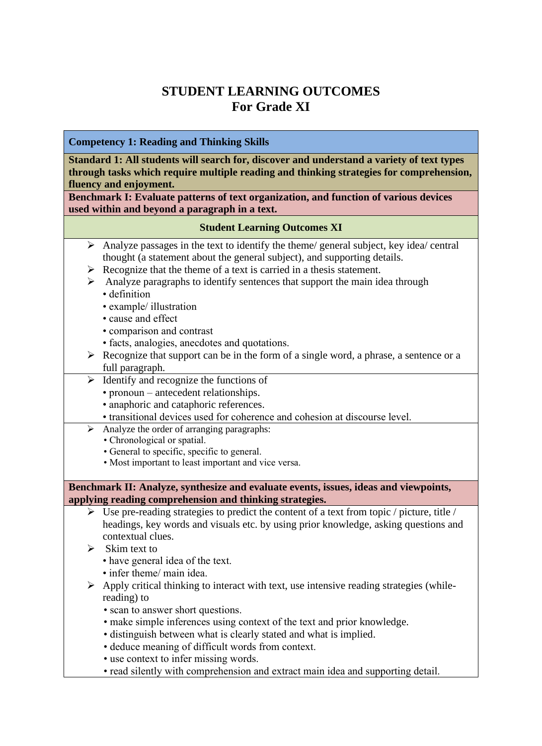# **STUDENT LEARNING OUTCOMES For Grade XI**

# **Competency 1: Reading and Thinking Skills**

**Standard 1: All students will search for, discover and understand a variety of text types through tasks which require multiple reading and thinking strategies for comprehension, fluency and enjoyment.**

**Benchmark I: Evaluate patterns of text organization, and function of various devices used within and beyond a paragraph in a text.**

## **Student Learning Outcomes XI**

- $\triangleright$  Analyze passages in the text to identify the theme/ general subject, key idea/ central thought (a statement about the general subject), and supporting details.
- $\triangleright$  Recognize that the theme of a text is carried in a thesis statement.
- $\triangleright$  Analyze paragraphs to identify sentences that support the main idea through
	- definition
	- example/ illustration
	- cause and effect
	- comparison and contrast
	- facts, analogies, anecdotes and quotations.
- $\triangleright$  Recognize that support can be in the form of a single word, a phrase, a sentence or a full paragraph.
- $\triangleright$  Identify and recognize the functions of
	- pronoun antecedent relationships.
	- anaphoric and cataphoric references.
	- transitional devices used for coherence and cohesion at discourse level.
- ➢ Analyze the order of arranging paragraphs:
	- Chronological or spatial.
	- General to specific, specific to general.
	- Most important to least important and vice versa.

#### **Benchmark II: Analyze, synthesize and evaluate events, issues, ideas and viewpoints, applying reading comprehension and thinking strategies.**

- $\triangleright$  Use pre-reading strategies to predict the content of a text from topic / picture, title / headings, key words and visuals etc. by using prior knowledge, asking questions and contextual clues.
- $\triangleright$  Skim text to
	- have general idea of the text.
	- infer theme/ main idea.
- ➢ Apply critical thinking to interact with text, use intensive reading strategies (whilereading) to
	- scan to answer short questions.
	- make simple inferences using context of the text and prior knowledge.
	- distinguish between what is clearly stated and what is implied.
	- deduce meaning of difficult words from context.
	- use context to infer missing words.
	- read silently with comprehension and extract main idea and supporting detail.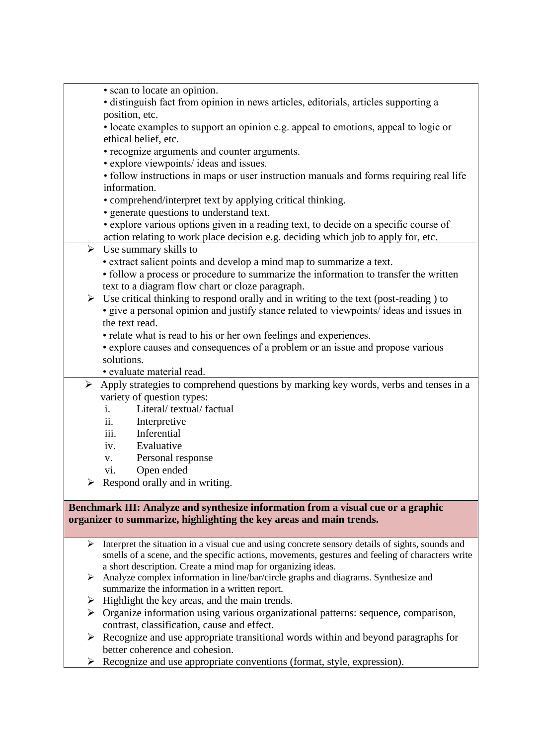| • scan to locate an opinion.                                                                                                                                                                              |
|-----------------------------------------------------------------------------------------------------------------------------------------------------------------------------------------------------------|
| · distinguish fact from opinion in news articles, editorials, articles supporting a<br>position, etc.                                                                                                     |
| • locate examples to support an opinion e.g. appeal to emotions, appeal to logic or                                                                                                                       |
| ethical belief, etc.                                                                                                                                                                                      |
| • recognize arguments and counter arguments.                                                                                                                                                              |
| • explore viewpoints/ ideas and issues.                                                                                                                                                                   |
| • follow instructions in maps or user instruction manuals and forms requiring real life                                                                                                                   |
| information.                                                                                                                                                                                              |
| • comprehend/interpret text by applying critical thinking.                                                                                                                                                |
| · generate questions to understand text.                                                                                                                                                                  |
| • explore various options given in a reading text, to decide on a specific course of                                                                                                                      |
| action relating to work place decision e.g. deciding which job to apply for, etc.                                                                                                                         |
| $\triangleright$ Use summary skills to                                                                                                                                                                    |
| • extract salient points and develop a mind map to summarize a text.<br>• follow a process or procedure to summarize the information to transfer the written                                              |
| text to a diagram flow chart or cloze paragraph.                                                                                                                                                          |
| $\triangleright$ Use critical thinking to respond orally and in writing to the text (post-reading) to                                                                                                     |
| • give a personal opinion and justify stance related to viewpoints/ ideas and issues in                                                                                                                   |
| the text read.                                                                                                                                                                                            |
| • relate what is read to his or her own feelings and experiences.                                                                                                                                         |
| • explore causes and consequences of a problem or an issue and propose various                                                                                                                            |
| solutions.                                                                                                                                                                                                |
| · evaluate material read.                                                                                                                                                                                 |
| $\triangleright$ Apply strategies to comprehend questions by marking key words, verbs and tenses in a                                                                                                     |
| variety of question types:                                                                                                                                                                                |
| Literal/textual/factual<br>$i$ .<br>ii.                                                                                                                                                                   |
| Interpretive<br>iii.<br>Inferential                                                                                                                                                                       |
| Evaluative<br>iv.                                                                                                                                                                                         |
| Personal response<br>V.                                                                                                                                                                                   |
| Open ended<br>vi.                                                                                                                                                                                         |
| $\triangleright$ Respond orally and in writing.                                                                                                                                                           |
|                                                                                                                                                                                                           |
| Benchmark III: Analyze and synthesize information from a visual cue or a graphic                                                                                                                          |
| organizer to summarize, highlighting the key areas and main trends.                                                                                                                                       |
|                                                                                                                                                                                                           |
| Interpret the situation in a visual cue and using concrete sensory details of sights, sounds and<br>➤<br>smells of a scene, and the specific actions, movements, gestures and feeling of characters write |
| a short description. Create a mind map for organizing ideas.                                                                                                                                              |

- ➢ Analyze complex information in line/bar/circle graphs and diagrams. Synthesize and summarize the information in a written report.
- $\triangleright$  Highlight the key areas, and the main trends.
- ➢ Organize information using various organizational patterns: sequence, comparison, contrast, classification, cause and effect.
- ➢ Recognize and use appropriate transitional words within and beyond paragraphs for better coherence and cohesion.
- ➢ Recognize and use appropriate conventions (format, style, expression).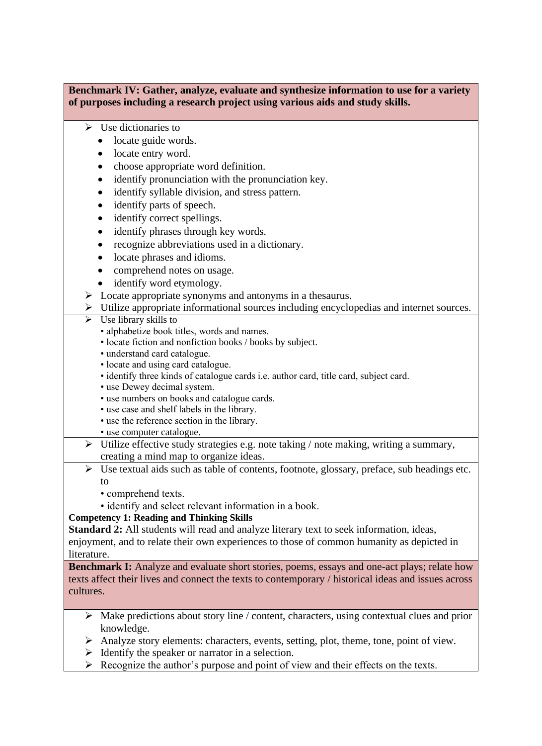### **Benchmark IV: Gather, analyze, evaluate and synthesize information to use for a variety of purposes including a research project using various aids and study skills.**

- ➢ Use dictionaries to
	- locate guide words.
	- locate entry word.
	- choose appropriate word definition.
	- identify pronunciation with the pronunciation key.
	- identify syllable division, and stress pattern.
	- identify parts of speech.
	- identify correct spellings.
	- identify phrases through key words.
	- recognize abbreviations used in a dictionary.
	- locate phrases and idioms.
	- comprehend notes on usage.
	- identify word etymology.
- ➢ Locate appropriate synonyms and antonyms in a thesaurus.
- ➢ Utilize appropriate informational sources including encyclopedias and internet sources.
- $\triangleright$  Use library skills to
	- alphabetize book titles, words and names.
	- locate fiction and nonfiction books / books by subject.
	- understand card catalogue.
	- locate and using card catalogue.
	- identify three kinds of catalogue cards i.e. author card, title card, subject card.
	- use Dewey decimal system.
	- use numbers on books and catalogue cards.
	- use case and shelf labels in the library.
	- use the reference section in the library.
- use computer catalogue.
- $\triangleright$  Utilize effective study strategies e.g. note taking / note making, writing a summary, creating a mind map to organize ideas.
- ➢ Use textual aids such as table of contents, footnote, glossary, preface, sub headings etc. to
	- comprehend texts.
	- identify and select relevant information in a book.

## **Competency 1: Reading and Thinking Skills**

**Standard 2:** All students will read and analyze literary text to seek information, ideas, enjoyment, and to relate their own experiences to those of common humanity as depicted in literature.

Benchmark I: Analyze and evaluate short stories, poems, essays and one-act plays; relate how texts affect their lives and connect the texts to contemporary / historical ideas and issues across cultures.

- $\triangleright$  Make predictions about story line / content, characters, using contextual clues and prior knowledge.
- ➢ Analyze story elements: characters, events, setting, plot, theme, tone, point of view.
- $\triangleright$  Identify the speaker or narrator in a selection.
- $\triangleright$  Recognize the author's purpose and point of view and their effects on the texts.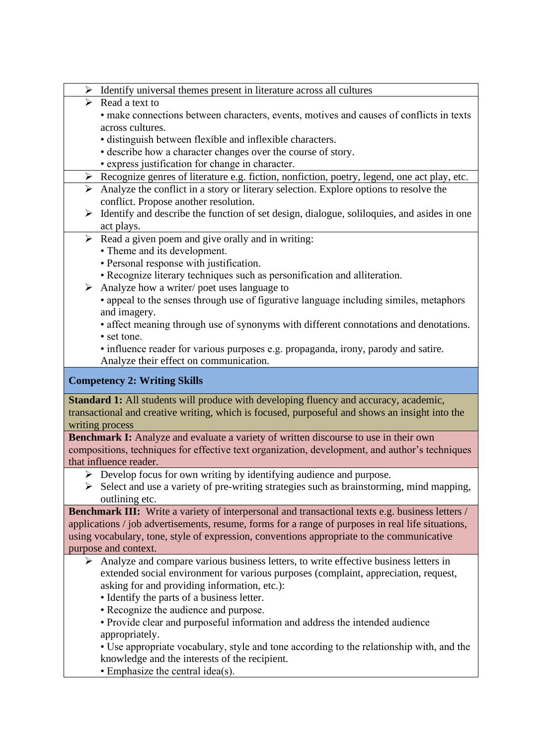- ➢ Identify universal themes present in literature across all cultures
- ➢ Read a text to
	- make connections between characters, events, motives and causes of conflicts in texts across cultures.
	- distinguish between flexible and inflexible characters.
	- describe how a character changes over the course of story.
	- express justification for change in character.

# ➢ Recognize genres of literature e.g. fiction, nonfiction, poetry, legend, one act play, etc.

- ➢ Analyze the conflict in a story or literary selection. Explore options to resolve the conflict. Propose another resolution.
- ➢ Identify and describe the function of set design, dialogue, soliloquies, and asides in one act plays.
- $\triangleright$  Read a given poem and give orally and in writing:
	- Theme and its development.
	- Personal response with justification.
	- Recognize literary techniques such as personification and alliteration.
- ➢ Analyze how a writer/ poet uses language to
	- appeal to the senses through use of figurative language including similes, metaphors and imagery.
	- affect meaning through use of synonyms with different connotations and denotations.
	- set tone.
	- influence reader for various purposes e.g. propaganda, irony, parody and satire. Analyze their effect on communication.

## **Competency 2: Writing Skills**

**Standard 1:** All students will produce with developing fluency and accuracy, academic, transactional and creative writing, which is focused, purposeful and shows an insight into the writing process

**Benchmark I:** Analyze and evaluate a variety of written discourse to use in their own compositions, techniques for effective text organization, development, and author's techniques that influence reader.

- ➢ Develop focus for own writing by identifying audience and purpose.
- ➢ Select and use a variety of pre-writing strategies such as brainstorming, mind mapping, outlining etc.

**Benchmark III:** Write a variety of interpersonal and transactional texts e.g. business letters / applications / job advertisements, resume, forms for a range of purposes in real life situations, using vocabulary, tone, style of expression, conventions appropriate to the communicative purpose and context.

- ➢ Analyze and compare various business letters, to write effective business letters in extended social environment for various purposes (complaint, appreciation, request, asking for and providing information, etc.):
	- Identify the parts of a business letter.
	- Recognize the audience and purpose.
	- Provide clear and purposeful information and address the intended audience appropriately.

• Use appropriate vocabulary, style and tone according to the relationship with, and the knowledge and the interests of the recipient.

• Emphasize the central idea(s).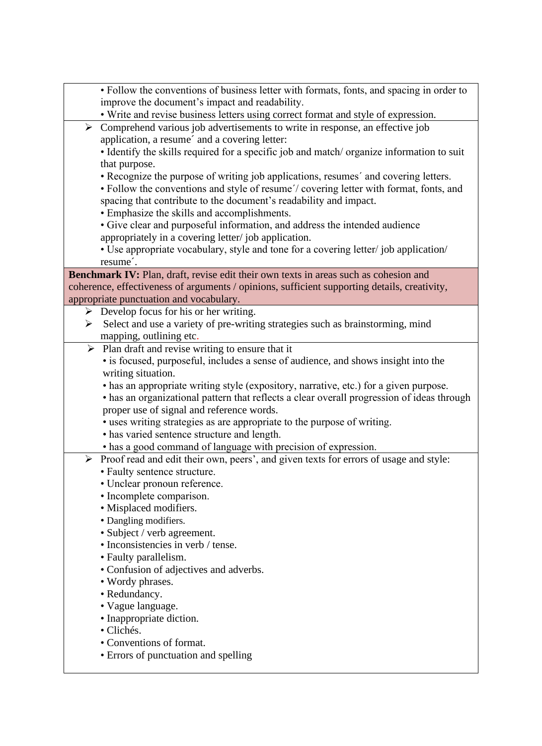| · Follow the conventions of business letter with formats, fonts, and spacing in order to                       |
|----------------------------------------------------------------------------------------------------------------|
| improve the document's impact and readability.                                                                 |
| • Write and revise business letters using correct format and style of expression.                              |
| $\triangleright$ Comprehend various job advertisements to write in response, an effective job                  |
| application, a resume' and a covering letter:                                                                  |
| • Identify the skills required for a specific job and match/ organize information to suit                      |
| that purpose.                                                                                                  |
| • Recognize the purpose of writing job applications, resumes' and covering letters.                            |
| • Follow the conventions and style of resume'/ covering letter with format, fonts, and                         |
| spacing that contribute to the document's readability and impact.                                              |
| • Emphasize the skills and accomplishments.                                                                    |
| • Give clear and purposeful information, and address the intended audience                                     |
| appropriately in a covering letter/job application.                                                            |
| • Use appropriate vocabulary, style and tone for a covering letter/ job application/                           |
| resume <sup>2</sup> .                                                                                          |
| Benchmark IV: Plan, draft, revise edit their own texts in areas such as cohesion and                           |
| coherence, effectiveness of arguments / opinions, sufficient supporting details, creativity,                   |
| appropriate punctuation and vocabulary.                                                                        |
| $\triangleright$ Develop focus for his or her writing.                                                         |
| > Select and use a variety of pre-writing strategies such as brainstorming, mind                               |
| mapping, outlining etc.<br>$\triangleright$ Plan draft and revise writing to ensure that it                    |
| • is focused, purposeful, includes a sense of audience, and shows insight into the                             |
| writing situation.                                                                                             |
| • has an appropriate writing style (expository, narrative, etc.) for a given purpose.                          |
| • has an organizational pattern that reflects a clear overall progression of ideas through                     |
| proper use of signal and reference words.                                                                      |
| • uses writing strategies as are appropriate to the purpose of writing.                                        |
| • has varied sentence structure and length.                                                                    |
| • has a good command of language with precision of expression.                                                 |
| Proof read and edit their own, peers', and given texts for errors of usage and style:<br>$\blacktriangleright$ |
| • Faulty sentence structure.                                                                                   |
| • Unclear pronoun reference.                                                                                   |
| • Incomplete comparison.                                                                                       |
| · Misplaced modifiers.                                                                                         |
| • Dangling modifiers.                                                                                          |
| • Subject / verb agreement.                                                                                    |
| • Inconsistencies in verb / tense.                                                                             |
| • Faulty parallelism.                                                                                          |
| • Confusion of adjectives and adverbs.                                                                         |
| • Wordy phrases.                                                                                               |
| • Redundancy.                                                                                                  |
| • Vague language.                                                                                              |
| • Inappropriate diction.                                                                                       |
| · Clichés.                                                                                                     |
| • Conventions of format.                                                                                       |
| • Errors of punctuation and spelling                                                                           |
|                                                                                                                |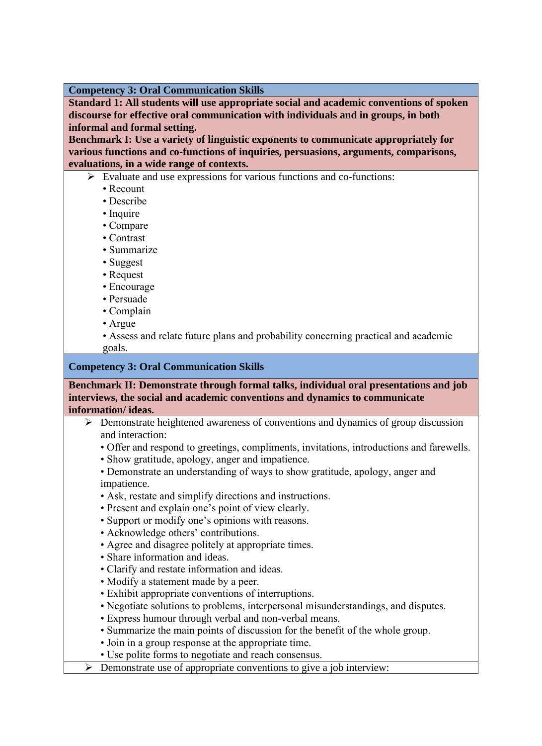**Competency 3: Oral Communication Skills**

**Standard 1: All students will use appropriate social and academic conventions of spoken discourse for effective oral communication with individuals and in groups, in both informal and formal setting.**

**Benchmark I: Use a variety of linguistic exponents to communicate appropriately for various functions and co-functions of inquiries, persuasions, arguments, comparisons, evaluations, in a wide range of contexts.**

- ➢ Evaluate and use expressions for various functions and co-functions:
	- Recount
	- Describe
	- Inquire
	- Compare
	- Contrast
	- Summarize
	- Suggest
	- Request
	- Encourage
	- Persuade
	- Complain
	- Argue
	- Assess and relate future plans and probability concerning practical and academic goals.

#### **Competency 3: Oral Communication Skills**

**Benchmark II: Demonstrate through formal talks, individual oral presentations and job interviews, the social and academic conventions and dynamics to communicate information/ ideas.**

- ➢ Demonstrate heightened awareness of conventions and dynamics of group discussion and interaction:
	- Offer and respond to greetings, compliments, invitations, introductions and farewells.
	- Show gratitude, apology, anger and impatience.
	- Demonstrate an understanding of ways to show gratitude, apology, anger and impatience.
	- Ask, restate and simplify directions and instructions.
	- Present and explain one's point of view clearly.
	- Support or modify one's opinions with reasons.
	- Acknowledge others' contributions.
	- Agree and disagree politely at appropriate times.
	- Share information and ideas.
	- Clarify and restate information and ideas.
	- Modify a statement made by a peer.
	- Exhibit appropriate conventions of interruptions.
	- Negotiate solutions to problems, interpersonal misunderstandings, and disputes.
	- Express humour through verbal and non-verbal means.
	- Summarize the main points of discussion for the benefit of the whole group.
	- Join in a group response at the appropriate time.
	- Use polite forms to negotiate and reach consensus.
- $\triangleright$  Demonstrate use of appropriate conventions to give a job interview: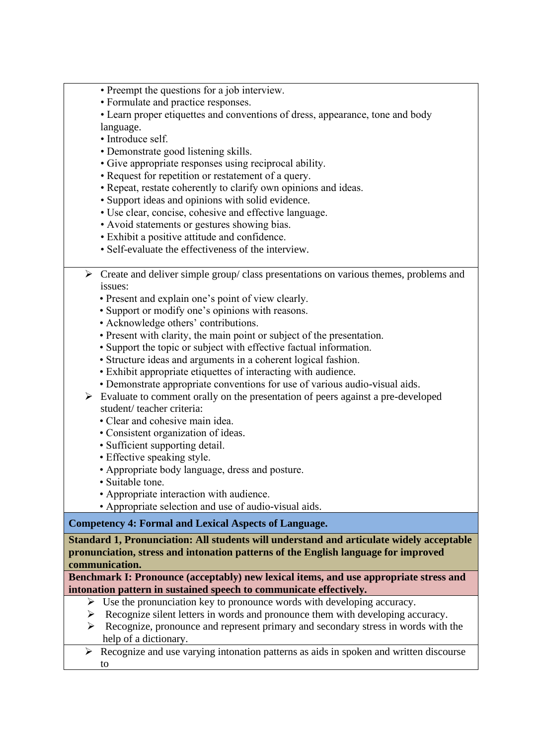- Preempt the questions for a job interview.
- Formulate and practice responses.

• Learn proper etiquettes and conventions of dress, appearance, tone and body language.

- Introduce self.
- Demonstrate good listening skills.
- Give appropriate responses using reciprocal ability.
- Request for repetition or restatement of a query.
- Repeat, restate coherently to clarify own opinions and ideas.
- Support ideas and opinions with solid evidence.
- Use clear, concise, cohesive and effective language.
- Avoid statements or gestures showing bias.
- Exhibit a positive attitude and confidence.
- Self-evaluate the effectiveness of the interview.
- ➢ Create and deliver simple group/ class presentations on various themes, problems and issues:
	- Present and explain one's point of view clearly.
	- Support or modify one's opinions with reasons.
	- Acknowledge others' contributions.
	- Present with clarity, the main point or subject of the presentation.
	- Support the topic or subject with effective factual information.
	- Structure ideas and arguments in a coherent logical fashion.
	- Exhibit appropriate etiquettes of interacting with audience.
	- Demonstrate appropriate conventions for use of various audio-visual aids.
- ➢ Evaluate to comment orally on the presentation of peers against a pre-developed student/ teacher criteria:
	- Clear and cohesive main idea.
	- Consistent organization of ideas.
	- Sufficient supporting detail.
	- Effective speaking style.
	- Appropriate body language, dress and posture.
	- Suitable tone.
	- Appropriate interaction with audience.
	- Appropriate selection and use of audio-visual aids.

## **Competency 4: Formal and Lexical Aspects of Language.**

**Standard 1, Pronunciation: All students will understand and articulate widely acceptable pronunciation, stress and intonation patterns of the English language for improved communication.**

**Benchmark I: Pronounce (acceptably) new lexical items, and use appropriate stress and intonation pattern in sustained speech to communicate effectively.**

- ➢ Use the pronunciation key to pronounce words with developing accuracy.
- ➢ Recognize silent letters in words and pronounce them with developing accuracy.
- ➢ Recognize, pronounce and represent primary and secondary stress in words with the help of a dictionary.
- ➢ Recognize and use varying intonation patterns as aids in spoken and written discourse to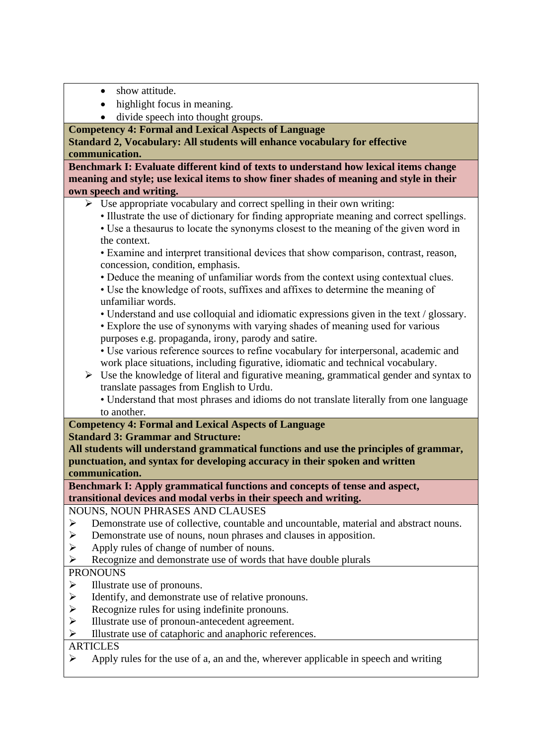- show attitude.
- highlight focus in meaning.
- divide speech into thought groups.

**Competency 4: Formal and Lexical Aspects of Language**

**Standard 2, Vocabulary: All students will enhance vocabulary for effective communication.**

**Benchmark I: Evaluate different kind of texts to understand how lexical items change meaning and style; use lexical items to show finer shades of meaning and style in their own speech and writing.**

- $\triangleright$  Use appropriate vocabulary and correct spelling in their own writing:
	- Illustrate the use of dictionary for finding appropriate meaning and correct spellings.
	- Use a thesaurus to locate the synonyms closest to the meaning of the given word in the context.

• Examine and interpret transitional devices that show comparison, contrast, reason, concession, condition, emphasis.

• Deduce the meaning of unfamiliar words from the context using contextual clues.

• Use the knowledge of roots, suffixes and affixes to determine the meaning of unfamiliar words.

• Understand and use colloquial and idiomatic expressions given in the text / glossary.

• Explore the use of synonyms with varying shades of meaning used for various purposes e.g. propaganda, irony, parody and satire.

• Use various reference sources to refine vocabulary for interpersonal, academic and work place situations, including figurative, idiomatic and technical vocabulary.

- $\triangleright$  Use the knowledge of literal and figurative meaning, grammatical gender and syntax to translate passages from English to Urdu.
	- Understand that most phrases and idioms do not translate literally from one language to another.

# **Competency 4: Formal and Lexical Aspects of Language**

**Standard 3: Grammar and Structure:** 

**All students will understand grammatical functions and use the principles of grammar, punctuation, and syntax for developing accuracy in their spoken and written** 

**communication.**

**Benchmark I: Apply grammatical functions and concepts of tense and aspect, transitional devices and modal verbs in their speech and writing.**

NOUNS, NOUN PHRASES AND CLAUSES

- ➢ Demonstrate use of collective, countable and uncountable, material and abstract nouns.
- ➢ Demonstrate use of nouns, noun phrases and clauses in apposition.
- $\triangleright$  Apply rules of change of number of nouns.<br> $\triangleright$  Recognize and demonstrate use of words the
- ➢ Recognize and demonstrate use of words that have double plurals

# **PRONOUNS**

- $\triangleright$  Illustrate use of pronouns.<br> $\triangleright$  Identify, and demonstrate u
- $\geq$  Identify, and demonstrate use of relative pronouns.<br> $\geq$  Recognize rules for using indefinite pronouns.
- Recognize rules for using indefinite pronouns.
- ➢ Illustrate use of pronoun-antecedent agreement.
- ➢ Illustrate use of cataphoric and anaphoric references.

# **ARTICLES**

 $\triangleright$  Apply rules for the use of a, an and the, wherever applicable in speech and writing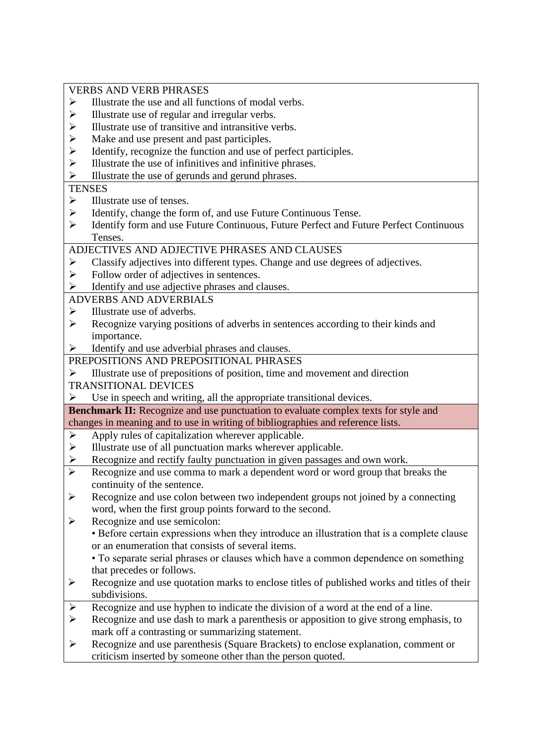VERBS AND VERB PHRASES

- ➢ Illustrate the use and all functions of modal verbs.
- $\geq$  Illustrate use of regular and irregular verbs.<br> $\geq$  Illustrate use of transitive and intransitive ve
- ➢ Illustrate use of transitive and intransitive verbs.
- $\triangleright$  Make and use present and past participles.<br> $\triangleright$  Identify, recognize the function and use of
- $\geq$  Identify, recognize the function and use of perfect participles.<br> $\geq$  Illustrate the use of infinitives and infinitive phrases.
- ➢ Illustrate the use of infinitives and infinitive phrases.
- ➢ Illustrate the use of gerunds and gerund phrases.

#### **TENSES**

- ➢ Illustrate use of tenses.
- ➢ Identify, change the form of, and use Future Continuous Tense.
- ➢ Identify form and use Future Continuous, Future Perfect and Future Perfect Continuous Tenses.

#### ADJECTIVES AND ADJECTIVE PHRASES AND CLAUSES

- ➢ Classify adjectives into different types. Change and use degrees of adjectives.
- $\triangleright$  Follow order of adjectives in sentences.
- $\triangleright$  Identify and use adjective phrases and clauses.

## ADVERBS AND ADVERBIALS

- $\triangleright$  Illustrate use of adverbs.
- ➢ Recognize varying positions of adverbs in sentences according to their kinds and importance.
- ➢ Identify and use adverbial phrases and clauses.
- PREPOSITIONS AND PREPOSITIONAL PHRASES
- ➢ Illustrate use of prepositions of position, time and movement and direction

## TRANSITIONAL DEVICES

 $\triangleright$  Use in speech and writing, all the appropriate transitional devices.

**Benchmark II:** Recognize and use punctuation to evaluate complex texts for style and changes in meaning and to use in writing of bibliographies and reference lists.

- $\triangleright$  Apply rules of capitalization wherever applicable.
- ➢ Illustrate use of all punctuation marks wherever applicable.
- ➢ Recognize and rectify faulty punctuation in given passages and own work.
- ➢ Recognize and use comma to mark a dependent word or word group that breaks the continuity of the sentence.
- ➢ Recognize and use colon between two independent groups not joined by a connecting word, when the first group points forward to the second.
- ➢ Recognize and use semicolon:
	- Before certain expressions when they introduce an illustration that is a complete clause or an enumeration that consists of several items.

• To separate serial phrases or clauses which have a common dependence on something that precedes or follows.

- ➢ Recognize and use quotation marks to enclose titles of published works and titles of their subdivisions.
- ➢ Recognize and use hyphen to indicate the division of a word at the end of a line.
- ➢ Recognize and use dash to mark a parenthesis or apposition to give strong emphasis, to mark off a contrasting or summarizing statement.
- ➢ Recognize and use parenthesis (Square Brackets) to enclose explanation, comment or criticism inserted by someone other than the person quoted.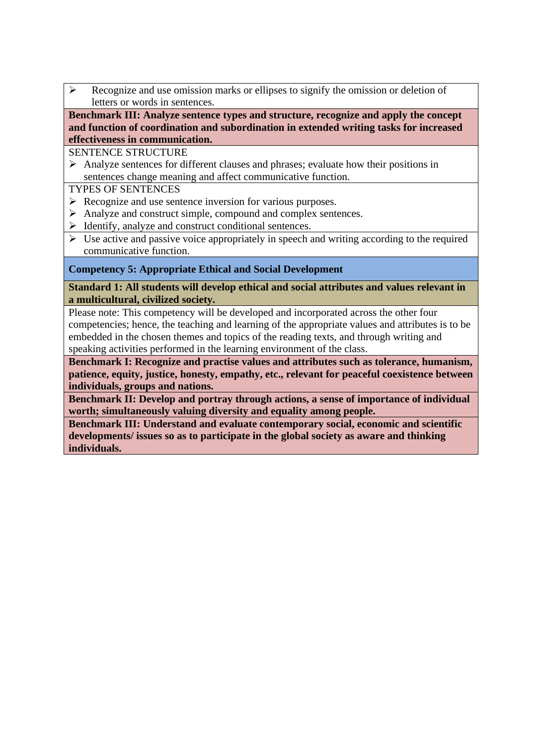➢ Recognize and use omission marks or ellipses to signify the omission or deletion of letters or words in sentences.

**Benchmark III: Analyze sentence types and structure, recognize and apply the concept and function of coordination and subordination in extended writing tasks for increased effectiveness in communication.**

SENTENCE STRUCTURE

➢ Analyze sentences for different clauses and phrases; evaluate how their positions in sentences change meaning and affect communicative function.

TYPES OF SENTENCES

- ➢ Recognize and use sentence inversion for various purposes.
- ➢ Analyze and construct simple, compound and complex sentences.
- ➢ Identify, analyze and construct conditional sentences.
- $\triangleright$  Use active and passive voice appropriately in speech and writing according to the required communicative function.

## **Competency 5: Appropriate Ethical and Social Development**

#### **Standard 1: All students will develop ethical and social attributes and values relevant in a multicultural, civilized society.**

Please note: This competency will be developed and incorporated across the other four competencies; hence, the teaching and learning of the appropriate values and attributes is to be embedded in the chosen themes and topics of the reading texts, and through writing and speaking activities performed in the learning environment of the class.

**Benchmark I: Recognize and practise values and attributes such as tolerance, humanism, patience, equity, justice, honesty, empathy, etc., relevant for peaceful coexistence between individuals, groups and nations.**

**Benchmark II: Develop and portray through actions, a sense of importance of individual worth; simultaneously valuing diversity and equality among people.**

**Benchmark III: Understand and evaluate contemporary social, economic and scientific developments/ issues so as to participate in the global society as aware and thinking individuals.**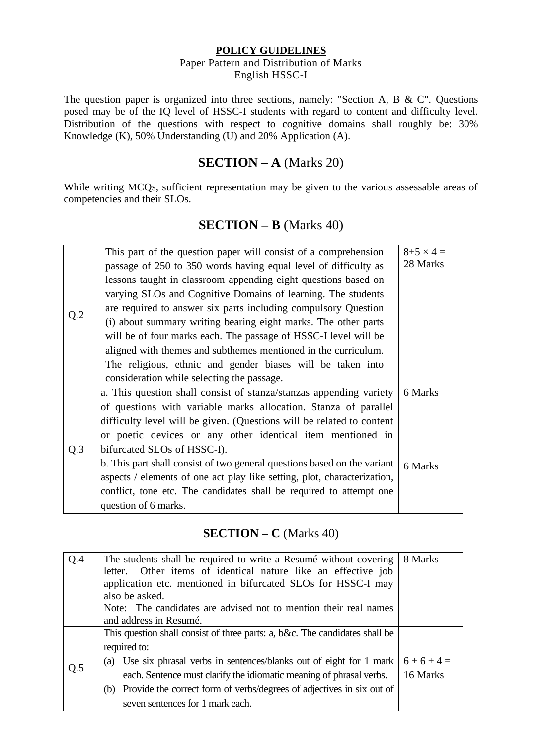#### **POLICY GUIDELINES**  Paper Pattern and Distribution of Marks English HSSC-I

The question paper is organized into three sections, namely: "Section A, B & C". Questions posed may be of the IQ level of HSSC-I students with regard to content and difficulty level. Distribution of the questions with respect to cognitive domains shall roughly be: 30% Knowledge  $(K)$ , 50% Understanding  $(U)$  and 20% Application  $(A)$ .

# **SECTION – A** (Marks 20)

While writing MCQs, sufficient representation may be given to the various assessable areas of competencies and their SLOs.

# **SECTION – B** (Marks 40)

|     | This part of the question paper will consist of a comprehension          | $8 + 5 \times 4 =$ |
|-----|--------------------------------------------------------------------------|--------------------|
|     | passage of 250 to 350 words having equal level of difficulty as          | 28 Marks           |
|     | lessons taught in classroom appending eight questions based on           |                    |
|     | varying SLOs and Cognitive Domains of learning. The students             |                    |
|     | are required to answer six parts including compulsory Question           |                    |
| Q.2 | (i) about summary writing bearing eight marks. The other parts           |                    |
|     | will be of four marks each. The passage of HSSC-I level will be          |                    |
|     | aligned with themes and subthemes mentioned in the curriculum.           |                    |
|     | The religious, ethnic and gender biases will be taken into               |                    |
|     | consideration while selecting the passage.                               |                    |
|     | a. This question shall consist of stanza/stanzas appending variety       | 6 Marks            |
|     | of questions with variable marks allocation. Stanza of parallel          |                    |
|     | difficulty level will be given. (Questions will be related to content    |                    |
|     | or poetic devices or any other identical item mentioned in               |                    |
| Q.3 | bifurcated SLOs of HSSC-I).                                              |                    |
|     | b. This part shall consist of two general questions based on the variant | 6 Marks            |
|     | aspects / elements of one act play like setting, plot, characterization, |                    |
|     | conflict, tone etc. The candidates shall be required to attempt one      |                    |
|     | question of 6 marks.                                                     |                    |

# **SECTION – C** (Marks 40)

| Q.4 | 8 Marks<br>The students shall be required to write a Resume without covering |          |  |  |  |  |  |  |  |  |  |  |
|-----|------------------------------------------------------------------------------|----------|--|--|--|--|--|--|--|--|--|--|
|     | letter. Other items of identical nature like an effective job                |          |  |  |  |  |  |  |  |  |  |  |
|     | application etc. mentioned in bifurcated SLOs for HSSC-I may                 |          |  |  |  |  |  |  |  |  |  |  |
|     | also be asked.                                                               |          |  |  |  |  |  |  |  |  |  |  |
|     | Note: The candidates are advised not to mention their real names             |          |  |  |  |  |  |  |  |  |  |  |
|     | and address in Resumé.                                                       |          |  |  |  |  |  |  |  |  |  |  |
|     | This question shall consist of three parts: a, b&c. The candidates shall be  |          |  |  |  |  |  |  |  |  |  |  |
|     | required to:                                                                 |          |  |  |  |  |  |  |  |  |  |  |
|     | (a) Use six phrasal verbs in sentences/blanks out of eight for 1 mark        | $6+6+4=$ |  |  |  |  |  |  |  |  |  |  |
| Q.5 | each. Sentence must clarify the idiomatic meaning of phrasal verbs.          | 16 Marks |  |  |  |  |  |  |  |  |  |  |
|     | (b) Provide the correct form of verbs/degrees of adjectives in six out of    |          |  |  |  |  |  |  |  |  |  |  |
|     | seven sentences for 1 mark each.                                             |          |  |  |  |  |  |  |  |  |  |  |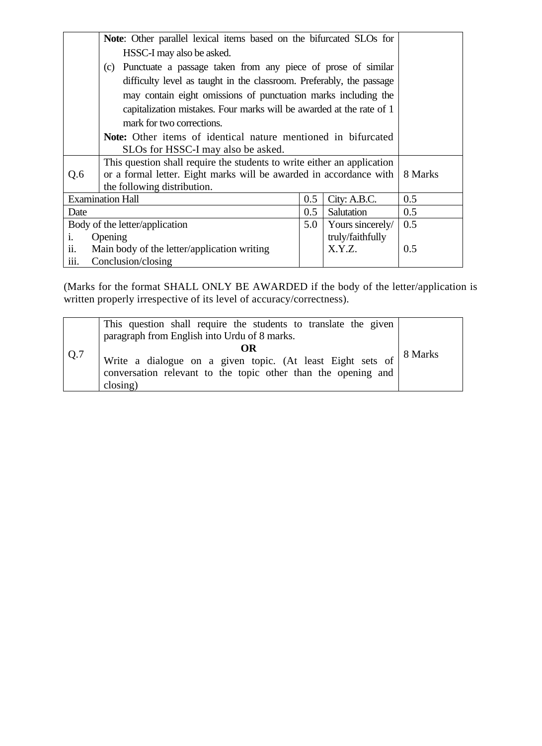|                   | Note: Other parallel lexical items based on the bifurcated SLOs for     |         |                  |     |
|-------------------|-------------------------------------------------------------------------|---------|------------------|-----|
|                   | HSSC-I may also be asked.                                               |         |                  |     |
|                   | (c) Punctuate a passage taken from any piece of prose of similar        |         |                  |     |
|                   | difficulty level as taught in the classroom. Preferably, the passage    |         |                  |     |
|                   | may contain eight omissions of punctuation marks including the          |         |                  |     |
|                   | capitalization mistakes. Four marks will be awarded at the rate of 1    |         |                  |     |
|                   | mark for two corrections.                                               |         |                  |     |
|                   | Note: Other items of identical nature mentioned in bifurcated           |         |                  |     |
|                   | SLOs for HSSC-I may also be asked.                                      |         |                  |     |
|                   | This question shall require the students to write either an application |         |                  |     |
| Q.6               | or a formal letter. Eight marks will be awarded in accordance with      | 8 Marks |                  |     |
|                   | the following distribution.                                             |         |                  |     |
|                   | <b>Examination Hall</b>                                                 | 0.5     | City: A.B.C.     | 0.5 |
| Date              |                                                                         | 0.5     | Salutation       | 0.5 |
|                   | Body of the letter/application                                          | 5.0     | Yours sincerely/ | 0.5 |
| i.                | Opening                                                                 |         | truly/faithfully |     |
| $\overline{11}$ . | Main body of the letter/application writing                             |         | X.Y.Z.           | 0.5 |
| iii.              | Conclusion/closing                                                      |         |                  |     |

(Marks for the format SHALL ONLY BE AWARDED if the body of the letter/application is written properly irrespective of its level of accuracy/correctness).

| Q.7 | This question shall require the students to translate the given<br>paragraph from English into Urdu of 8 marks.                                    |         |
|-----|----------------------------------------------------------------------------------------------------------------------------------------------------|---------|
|     | OR<br>Write a dialogue on a given topic. (At least Eight sets of<br>conversation relevant to the topic other than the opening and<br>$\frac{1}{2}$ | 8 Marks |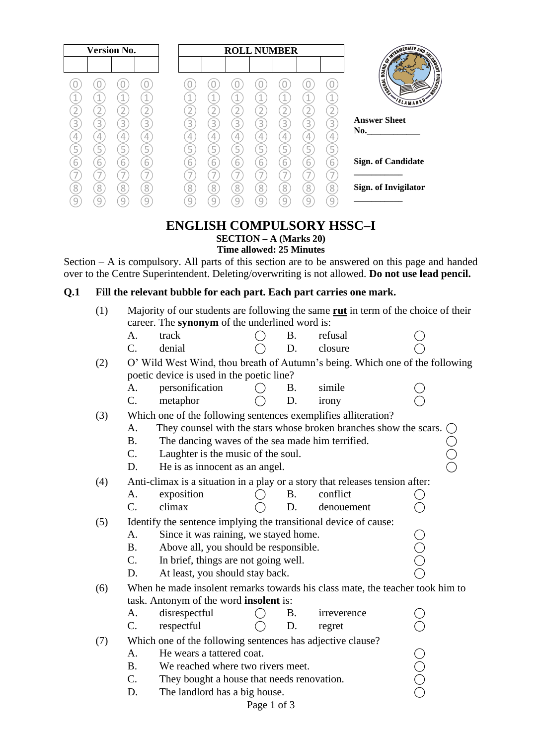|        | <b>Version No.</b> |   |   |   |   | <b>ROLL NUMBER</b>  |                          |   |   |                                          |
|--------|--------------------|---|---|---|---|---------------------|--------------------------|---|---|------------------------------------------|
|        |                    |   |   |   |   |                     |                          |   |   | INTERMEDIATE ANU SCON<br><b>BOARD OF</b> |
|        |                    |   |   |   |   |                     |                          |   |   | THERE'S                                  |
|        |                    |   |   |   |   |                     | $\overline{\phantom{a}}$ |   |   | SLAMABAD'                                |
|        |                    |   |   |   |   |                     |                          |   |   |                                          |
| 3<br>3 | $\mathcal{L}$      | 3 | 3 | 3 | 3 | 3                   | 3                        | 3 | 3 | <b>Answer Sheet</b><br>No.               |
| 4      |                    |   | 4 |   |   | 4                   |                          | 4 |   |                                          |
| 5      | 5                  | Ь | 5 | ц | Ь | 5                   | 5                        | Ь | 5 | <b>Sign. of Candidate</b>                |
| 6<br>6 | 6                  | ь | 6 | 6 | 6 | $\overline{6}$<br>- | 6                        | 6 | 6 |                                          |
|        |                    |   |   |   |   |                     |                          |   |   | Sign. of Invigilator                     |
| 8<br>8 | 8                  | 8 | 8 | 8 | 8 | 8                   | 8                        | 8 | 8 |                                          |
| 9<br>9 |                    |   |   |   |   | 9                   | 9                        |   |   |                                          |

### **ENGLISH COMPULSORY HSSC–I SECTION – A (Marks 20) Time allowed: 25 Minutes**

Section – A is compulsory. All parts of this section are to be answered on this page and handed over to the Centre Superintendent. Deleting/overwriting is not allowed. **Do not use lead pencil.**

# **Q.1 Fill the relevant bubble for each part. Each part carries one mark.**

| (1) | Majority of our students are following the same <b>rut</b> in term of the choice of their<br>career. The synonym of the underlined word is: |                                                                                                                         |             |           |             |     |  |  |  |  |
|-----|---------------------------------------------------------------------------------------------------------------------------------------------|-------------------------------------------------------------------------------------------------------------------------|-------------|-----------|-------------|-----|--|--|--|--|
|     |                                                                                                                                             |                                                                                                                         |             |           |             |     |  |  |  |  |
|     | A.                                                                                                                                          | track                                                                                                                   |             | <b>B.</b> | refusal     |     |  |  |  |  |
|     | C.                                                                                                                                          | denial                                                                                                                  |             | D.        | closure     |     |  |  |  |  |
| (2) | O' Wild West Wind, thou breath of Autumn's being. Which one of the following                                                                |                                                                                                                         |             |           |             |     |  |  |  |  |
|     | poetic device is used in the poetic line?                                                                                                   |                                                                                                                         |             |           |             |     |  |  |  |  |
|     | Α.                                                                                                                                          | personification                                                                                                         |             | Β.        | simile      |     |  |  |  |  |
|     | C.                                                                                                                                          | metaphor                                                                                                                |             | D.        | irony       |     |  |  |  |  |
| (3) |                                                                                                                                             | Which one of the following sentences exemplifies alliteration?                                                          |             |           |             |     |  |  |  |  |
|     | A.                                                                                                                                          | They counsel with the stars whose broken branches show the scars. $\bigcirc$                                            |             |           |             |     |  |  |  |  |
|     | <b>B.</b>                                                                                                                                   | The dancing waves of the sea made him terrified.                                                                        |             |           |             |     |  |  |  |  |
|     | C.                                                                                                                                          | Laughter is the music of the soul.                                                                                      |             |           |             |     |  |  |  |  |
|     | D.                                                                                                                                          | He is as innocent as an angel.                                                                                          |             |           |             |     |  |  |  |  |
| (4) |                                                                                                                                             | Anti-climax is a situation in a play or a story that releases tension after:                                            |             |           |             |     |  |  |  |  |
|     | A.                                                                                                                                          | exposition                                                                                                              |             | <b>B.</b> | conflict    |     |  |  |  |  |
|     | C.                                                                                                                                          | climax                                                                                                                  |             | D.        | denouement  |     |  |  |  |  |
| (5) |                                                                                                                                             | Identify the sentence implying the transitional device of cause:                                                        |             |           |             |     |  |  |  |  |
|     | A.                                                                                                                                          | Since it was raining, we stayed home.                                                                                   |             |           |             |     |  |  |  |  |
|     | <b>B.</b>                                                                                                                                   | Above all, you should be responsible.                                                                                   |             |           |             | OOO |  |  |  |  |
|     | C.                                                                                                                                          | In brief, things are not going well.                                                                                    |             |           |             |     |  |  |  |  |
|     | D.                                                                                                                                          | At least, you should stay back.                                                                                         |             |           |             |     |  |  |  |  |
|     |                                                                                                                                             |                                                                                                                         |             |           |             |     |  |  |  |  |
| (6) |                                                                                                                                             | When he made insolent remarks towards his class mate, the teacher took him to<br>task. Antonym of the word insolent is: |             |           |             |     |  |  |  |  |
|     | A.                                                                                                                                          | disrespectful                                                                                                           |             | Β.        | irreverence |     |  |  |  |  |
|     | C.                                                                                                                                          |                                                                                                                         |             | D.        |             |     |  |  |  |  |
|     |                                                                                                                                             | respectful                                                                                                              |             |           | regret      |     |  |  |  |  |
| (7) |                                                                                                                                             | Which one of the following sentences has adjective clause?                                                              |             |           |             |     |  |  |  |  |
|     | A.                                                                                                                                          | He wears a tattered coat.                                                                                               |             |           |             |     |  |  |  |  |
|     | <b>B.</b>                                                                                                                                   | We reached where two rivers meet.                                                                                       |             |           |             |     |  |  |  |  |
|     | C.                                                                                                                                          | They bought a house that needs renovation.                                                                              |             |           |             | OOO |  |  |  |  |
|     | D.                                                                                                                                          | The landlord has a big house.                                                                                           |             |           |             |     |  |  |  |  |
|     |                                                                                                                                             |                                                                                                                         | Page 1 of 3 |           |             |     |  |  |  |  |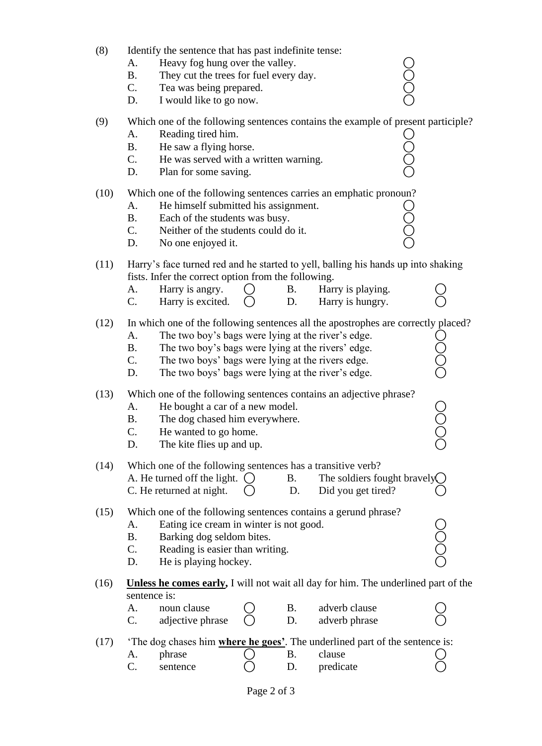| (8)  | A.<br><b>B.</b><br>C.<br>D.                                                                                                                                                                                                                                                                                                             | Identify the sentence that has past indefinite tense:<br>Heavy fog hung over the valley.<br>They cut the trees for fuel every day.<br>Tea was being prepared.<br>I would like to go now. |  |                 |                                                                                                                            | 0<br>0<br>0<br>0 |  |  |
|------|-----------------------------------------------------------------------------------------------------------------------------------------------------------------------------------------------------------------------------------------------------------------------------------------------------------------------------------------|------------------------------------------------------------------------------------------------------------------------------------------------------------------------------------------|--|-----------------|----------------------------------------------------------------------------------------------------------------------------|------------------|--|--|
| (9)  | A.<br><b>B.</b><br>C.<br>D.                                                                                                                                                                                                                                                                                                             | Reading tired him.<br>He saw a flying horse.<br>He was served with a written warning.<br>Plan for some saving.                                                                           |  |                 | Which one of the following sentences contains the example of present participle?                                           | JOOL             |  |  |
| (10) | A.<br><b>B.</b><br>C.<br>D.                                                                                                                                                                                                                                                                                                             | He himself submitted his assignment.<br>Each of the students was busy.<br>Neither of the students could do it.<br>No one enjoyed it.                                                     |  |                 | Which one of the following sentences carries an emphatic pronoun?                                                          | Ŏ<br>Q           |  |  |
| (11) | A.<br>C.                                                                                                                                                                                                                                                                                                                                | fists. Infer the correct option from the following.<br>Harry is angry.<br>Harry is excited.                                                                                              |  | <b>B.</b><br>D. | Harry's face turned red and he started to yell, balling his hands up into shaking<br>Harry is playing.<br>Harry is hungry. |                  |  |  |
| (12) | In which one of the following sentences all the apostrophes are correctly placed?<br>The two boy's bags were lying at the river's edge.<br>A.<br><b>B.</b><br>The two boy's bags were lying at the rivers' edge.<br>C.<br>The two boys' bags were lying at the rivers edge.<br>The two boys' bags were lying at the river's edge.<br>D. |                                                                                                                                                                                          |  |                 |                                                                                                                            |                  |  |  |
| (13) | A.<br><b>B.</b><br>$\mathcal{C}$<br>D.                                                                                                                                                                                                                                                                                                  | He bought a car of a new model.<br>The dog chased him everywhere.<br>He wanted to go home.<br>The kite flies up and up.                                                                  |  |                 | Which one of the following sentences contains an adjective phrase?                                                         |                  |  |  |
| (14) |                                                                                                                                                                                                                                                                                                                                         | Which one of the following sentences has a transitive verb?<br>A. He turned off the light. $\bigcirc$<br>C. He returned at night.                                                        |  | <b>B.</b><br>D. | The soldiers fought bravely $\bigcap$<br>Did you get tired?                                                                |                  |  |  |
| (15) | Which one of the following sentences contains a gerund phrase?<br>Eating ice cream in winter is not good.<br>A.<br>Barking dog seldom bites.<br><b>B.</b><br>C.<br>Reading is easier than writing.<br>He is playing hockey.<br>D.                                                                                                       |                                                                                                                                                                                          |  |                 |                                                                                                                            |                  |  |  |
| (16) | sentence is:                                                                                                                                                                                                                                                                                                                            |                                                                                                                                                                                          |  |                 | <b>Unless he comes early, I</b> will not wait all day for him. The underlined part of the                                  |                  |  |  |
|      | A.<br>C.                                                                                                                                                                                                                                                                                                                                | noun clause<br>adjective phrase                                                                                                                                                          |  | Β.<br>D.        | adverb clause<br>adverb phrase                                                                                             |                  |  |  |
| (17) |                                                                                                                                                                                                                                                                                                                                         |                                                                                                                                                                                          |  |                 | The dog chases him <b>where he goes</b> '. The underlined part of the sentence is:                                         |                  |  |  |
|      | A.                                                                                                                                                                                                                                                                                                                                      | phrase                                                                                                                                                                                   |  | <b>B.</b>       | clause                                                                                                                     |                  |  |  |
|      | C.                                                                                                                                                                                                                                                                                                                                      | sentence                                                                                                                                                                                 |  | D.              | predicate                                                                                                                  |                  |  |  |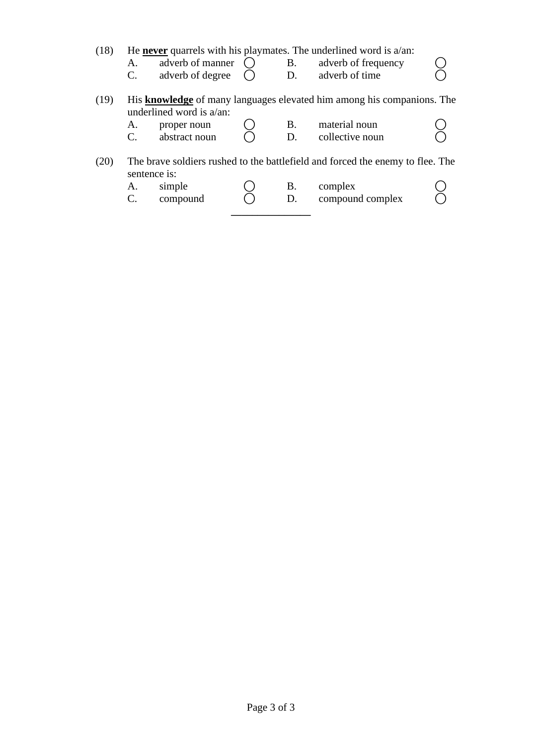(18) He **never** quarrels with his playmates. The underlined word is a/an:

- A. adverb of manner  $\overline{O}$  B. adverb of frequency  $\overline{O}$ <br>C. adverb of degree  $\overline{O}$  D. adverb of time  $\overline{O}$ 
	- adverb of degree  $\overrightarrow{O}$
- (19) His **knowledge** of many languages elevated him among his companions. The underlined word is a/an:
	- A. proper noun  $\bigcirc$  B. material noun  $\bigcirc$ <br>C. abstract noun  $\bigcirc$  D. collective noun  $\bigcirc$
	- $C.$  abstract noun  $\bigcirc$  D. collective noun
- (20) The brave soldiers rushed to the battlefield and forced the enemy to flee. The sentence is:
	- A. simple  $\bigcirc$  B. complex  $\bigcirc$ <br>C. compound  $\bigcirc$  D. compound complex  $\bigcirc$  $C.$  compound  $\overline{O}$  D. compound complex

**\_\_\_\_\_\_\_\_\_\_\_\_\_\_\_**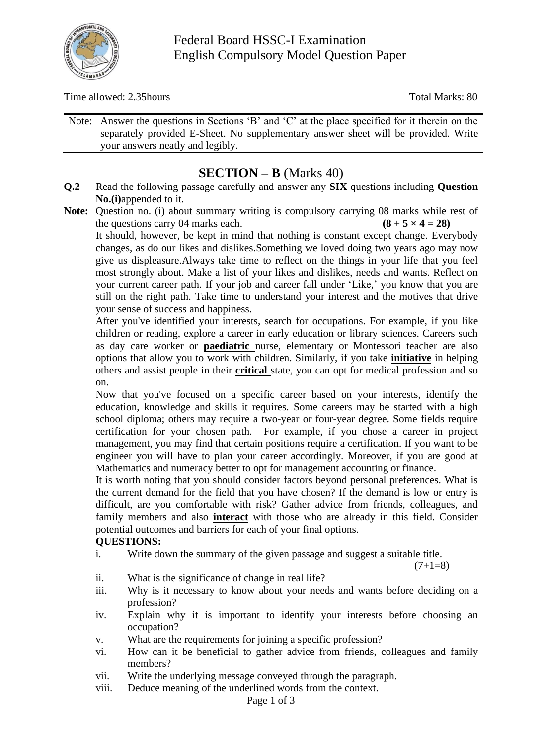

Time allowed: 2.35hours Total Marks: 80

Note: Answer the questions in Sections 'B' and 'C' at the place specified for it therein on the separately provided E-Sheet. No supplementary answer sheet will be provided. Write your answers neatly and legibly.

# **SECTION – B** (Marks 40)

- **Q.2** Read the following passage carefully and answer any **SIX** questions including **Question No.(i)**appended to it.
- **Note:** Question no. (i) about summary writing is compulsory carrying 08 marks while rest of the questions carry 04 marks each.  $(8 + 5 \times 4 = 28)$

It should, however, be kept in mind that nothing is constant except change. Everybody changes, as do our likes and dislikes.Something we loved doing two years ago may now give us displeasure.Always take time to reflect on the things in your life that you feel most strongly about. Make a list of your likes and dislikes, needs and wants. Reflect on your current career path. If your job and career fall under 'Like,' you know that you are still on the right path. Take time to understand your interest and the motives that drive your sense of success and happiness.

After you've identified your interests, search for occupations. For example, if you like children or reading, explore a career in early education or library sciences. Careers such as day care worker or **paediatric** nurse, elementary or Montessori teacher are also options that allow you to work with children. Similarly, if you take **initiative** in helping others and assist people in their **critical** state, you can opt for medical profession and so on.

Now that you've focused on a specific career based on your interests, identify the education, knowledge and skills it requires. Some careers may be started with a high school diploma; others may require a two-year or four-year degree. Some fields require certification for your chosen path. For example, if you chose a career in project management, you may find that certain positions require a certification. If you want to be engineer you will have to plan your career accordingly. Moreover, if you are good at Mathematics and numeracy better to opt for management accounting or finance.

It is worth noting that you should consider factors beyond personal preferences. What is the current demand for the field that you have chosen? If the demand is low or entry is difficult, are you comfortable with risk? Gather advice from friends, colleagues, and family members and also **interact** with those who are already in this field. Consider potential outcomes and barriers for each of your final options.

# **QUESTIONS:**

i. Write down the summary of the given passage and suggest a suitable title.

 $(7+1=8)$ 

- ii. What is the significance of change in real life?
- iii. Why is it necessary to know about your needs and wants before deciding on a profession?
- iv. Explain why it is important to identify your interests before choosing an occupation?
- v. What are the requirements for joining a specific profession?
- vi. How can it be beneficial to gather advice from friends, colleagues and family members?
- vii. Write the underlying message conveyed through the paragraph.
- viii. Deduce meaning of the underlined words from the context.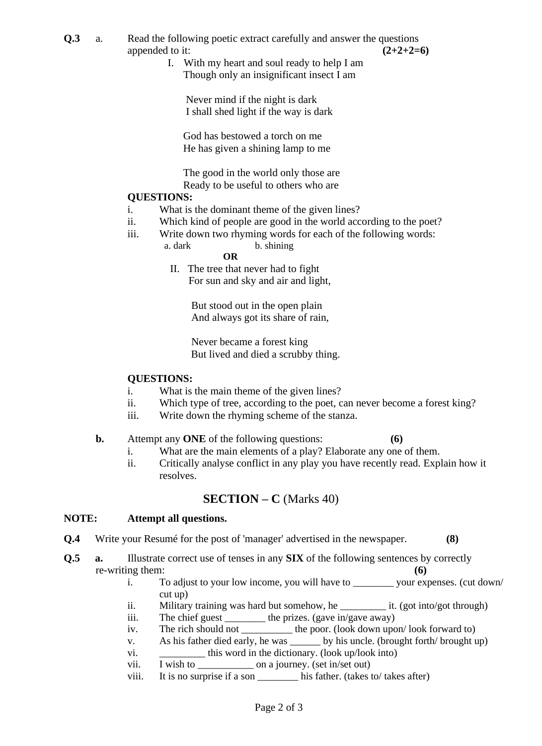- **Q.3** a. Read the following poetic extract carefully and answer the questions appended to it:  $(2+2+2=6)$ 
	- I. With my heart and soul ready to help I am Though only an insignificant insect I am

 Never mind if the night is dark I shall shed light if the way is dark

 God has bestowed a torch on me He has given a shining lamp to me

 The good in the world only those are Ready to be useful to others who are

#### **QUESTIONS:**

- i. What is the dominant theme of the given lines?
- ii. Which kind of people are good in the world according to the poet?
- iii. Write down two rhyming words for each of the following words:
	- a. dark b. shining

# **OR**

 II. The tree that never had to fight For sun and sky and air and light,

> But stood out in the open plain And always got its share of rain,

 Never became a forest king But lived and died a scrubby thing.

#### **QUESTIONS:**

- i. What is the main theme of the given lines?
- ii. Which type of tree, according to the poet, can never become a forest king?
- iii. Write down the rhyming scheme of the stanza.

#### **b.** Attempt any **ONE** of the following questions: **(6)**

- i. What are the main elements of a play? Elaborate any one of them.
- ii. Critically analyse conflict in any play you have recently read. Explain how it resolves.

## **SECTION – C** (Marks 40)

#### **NOTE: Attempt all questions.**

- **Q.4** Write your Resumé for the post of 'manager' advertised in the newspaper. **(8)**
- **Q.5 a.** Illustrate correct use of tenses in any **SIX** of the following sentences by correctly re-writing them: **(6)** 
	- i. To adjust to your low income, you will have to \_\_\_\_\_\_\_\_ your expenses. (cut down/ cut up)
	- ii. Military training was hard but somehow, he  $\qquad$  it. (got into/got through)
	- iii. The chief guest \_\_\_\_\_\_\_\_\_ the prizes. (gave in/gave away)
	- iv. The rich should not \_\_\_\_\_\_\_\_\_\_ the poor. (look down upon/ look forward to)
	- v. As his father died early, he was \_\_\_\_\_\_ by his uncle. (brought forth/ brought up)
	- vi. \_\_\_\_\_\_\_\_\_\_\_ this word in the dictionary. (look up/look into)
	- vii. I wish to \_\_\_\_\_\_\_\_\_\_\_ on a journey. (set in/set out)
	- viii. It is no surprise if a son \_\_\_\_\_\_\_\_ his father. (takes to/ takes after)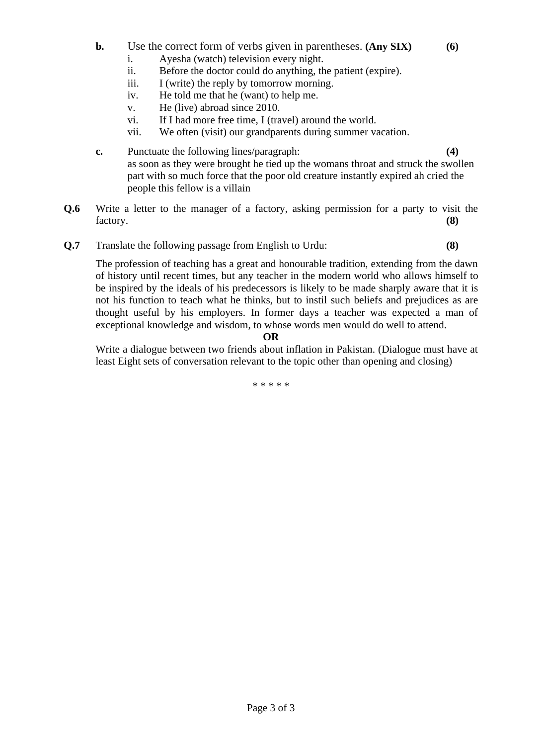- **b.** Use the correct form of verbs given in parentheses. **(Any SIX) (6)**
	- i. Ayesha (watch) television every night.
	- ii. Before the doctor could do anything, the patient (expire).
	- iii. I (write) the reply by tomorrow morning.
	- iv. He told me that he (want) to help me.
	- v. He (live) abroad since 2010.
	- vi. If I had more free time, I (travel) around the world.
	- vii. We often (visit) our grandparents during summer vacation.
- **c.** Punctuate the following lines/paragraph: **(4)** as soon as they were brought he tied up the womans throat and struck the swollen part with so much force that the poor old creature instantly expired ah cried the people this fellow is a villain
- **Q.6** Write a letter to the manager of a factory, asking permission for a party to visit the factory. **(8)**
- **Q.7** Translate the following passage from English to Urdu: **(8)**

The profession of teaching has a great and honourable tradition, extending from the dawn of history until recent times, but any teacher in the modern world who allows himself to be inspired by the ideals of his predecessors is likely to be made sharply aware that it is not his function to teach what he thinks, but to instil such beliefs and prejudices as are thought useful by his employers. In former days a teacher was expected a man of exceptional knowledge and wisdom, to whose words men would do well to attend.

#### **OR**

Write a dialogue between two friends about inflation in Pakistan. (Dialogue must have at least Eight sets of conversation relevant to the topic other than opening and closing)

\* \* \* \* \*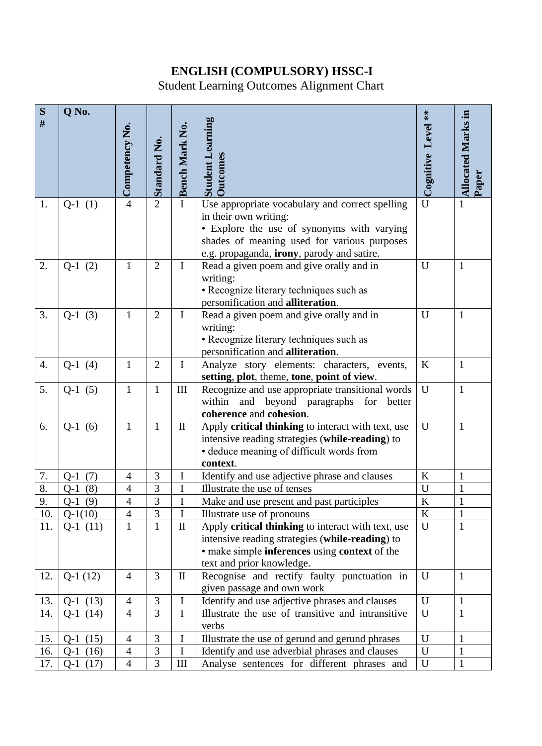# **ENGLISH (COMPULSORY) HSSC-I**

Student Learning Outcomes Alignment Chart

| S    | Q No.         |                |                     |                |                                                                              |                           |                           |
|------|---------------|----------------|---------------------|----------------|------------------------------------------------------------------------------|---------------------------|---------------------------|
| $\#$ |               |                |                     |                |                                                                              |                           |                           |
|      |               |                |                     |                |                                                                              |                           |                           |
|      |               |                |                     |                |                                                                              |                           |                           |
|      |               | Competency No. | <b>Standard No.</b> | Bench Mark No. | <b>Student Learning</b><br><b>Outcomes</b>                                   | Cognitive Level **        | <b>Allocated Marks in</b> |
|      |               |                |                     |                |                                                                              |                           |                           |
|      |               |                |                     |                |                                                                              |                           | Paper                     |
| 1.   | $Q-1(1)$      | $\overline{4}$ | $\overline{2}$      | $\mathbf I$    | Use appropriate vocabulary and correct spelling                              | $\overline{\overline{U}}$ | $\mathbf{1}$              |
|      |               |                |                     |                | in their own writing:                                                        |                           |                           |
|      |               |                |                     |                | • Explore the use of synonyms with varying                                   |                           |                           |
|      |               |                |                     |                | shades of meaning used for various purposes                                  |                           |                           |
|      |               |                |                     |                | e.g. propaganda, irony, parody and satire.                                   |                           |                           |
| 2.   | $Q-1(2)$      | $\mathbf{1}$   | $\overline{2}$      | $\mathbf I$    | Read a given poem and give orally and in                                     | U                         | $\mathbf{1}$              |
|      |               |                |                     |                | writing:                                                                     |                           |                           |
|      |               |                |                     |                | • Recognize literary techniques such as<br>personification and alliteration. |                           |                           |
| 3.   | $Q-1(3)$      | $\mathbf{1}$   | $\overline{2}$      | $\mathbf I$    | Read a given poem and give orally and in                                     | U                         | $\mathbf{1}$              |
|      |               |                |                     |                | writing:                                                                     |                           |                           |
|      |               |                |                     |                | • Recognize literary techniques such as                                      |                           |                           |
|      |               |                |                     |                | personification and alliteration.                                            |                           |                           |
| 4.   | $Q-1(4)$      | $\mathbf{1}$   | $\overline{2}$      | $\bf{I}$       | Analyze story elements: characters, events,                                  | $\bf K$                   | $\mathbf{1}$              |
|      |               |                |                     |                | setting, plot, theme, tone, point of view.                                   |                           |                           |
| 5.   | $Q-1(5)$      | $\mathbf{1}$   | 1                   | III            | Recognize and use appropriate transitional words                             | U                         | $\mathbf{1}$              |
|      |               |                |                     |                | within<br>beyond paragraphs<br>and<br>for<br>better                          |                           |                           |
|      |               |                |                     |                | coherence and cohesion.                                                      |                           |                           |
| 6.   | $Q-1(6)$      | $\mathbf{1}$   | 1                   | $\mathbf{I}$   | Apply critical thinking to interact with text, use                           | $\mathbf U$               | $\mathbf{1}$              |
|      |               |                |                     |                | intensive reading strategies (while-reading) to                              |                           |                           |
|      |               |                |                     |                | · deduce meaning of difficult words from<br>context.                         |                           |                           |
| 7.   | (7)<br>$Q-1$  | $\overline{4}$ | $\mathfrak{Z}$      | I              | Identify and use adjective phrase and clauses                                | $\bf K$                   | $\mathbf{1}$              |
| 8.   | (8)<br>$Q-1$  | $\overline{4}$ | 3                   | $\mathbf I$    | Illustrate the use of tenses                                                 | $\mathbf U$               | $\mathbf{1}$              |
| 9.   | $Q-1(9)$      | $\overline{4}$ | $\overline{3}$      | $\mathbf I$    | Make and use present and past participles                                    | $\overline{\mathbf{K}}$   | $\mathbf{1}$              |
| 10.  | $Q-1(10)$     | $\overline{4}$ | 3                   | $\mathbf I$    | Illustrate use of pronouns                                                   | K                         | 1                         |
| 11.  | $Q-1(11)$     | $\mathbf{1}$   | $\mathbf{1}$        | $\rm II$       | Apply critical thinking to interact with text, use                           | U                         | $\mathbf{1}$              |
|      |               |                |                     |                | intensive reading strategies (while-reading) to                              |                           |                           |
|      |               |                |                     |                | • make simple inferences using context of the                                |                           |                           |
|      |               |                |                     |                | text and prior knowledge.                                                    |                           |                           |
| 12.  | $Q-1(12)$     | $\overline{4}$ | $\overline{3}$      | $\mathbf{I}$   | Recognise and rectify faulty punctuation in                                  | $\mathbf U$               | $\mathbf{1}$              |
|      |               |                |                     |                | given passage and own work                                                   |                           |                           |
| 13.  | $Q-1(13)$     | $\overline{4}$ | 3<br>$\overline{3}$ | $\mathbf I$    | Identify and use adjective phrases and clauses                               | U                         | $\mathbf{1}$              |
| 14.  | $Q-1$ (14)    | $\overline{4}$ |                     | $\mathbf I$    | Illustrate the use of transitive and intransitive<br>verbs                   | U                         | $\mathbf{1}$              |
| 15.  | (15)<br>$Q-1$ | $\overline{4}$ | 3                   | $\bf I$        | Illustrate the use of gerund and gerund phrases                              | $\mathbf{U}$              | $\mathbf{1}$              |
| 16.  | (16)<br>$Q-1$ | $\overline{4}$ | 3                   | I              | Identify and use adverbial phrases and clauses                               | U                         | $\mathbf{1}$              |
| 17.  | $Q-1(17)$     | $\overline{4}$ | 3                   | III            | Analyse sentences for different phrases and                                  | $\mathbf U$               | $\mathbf{1}$              |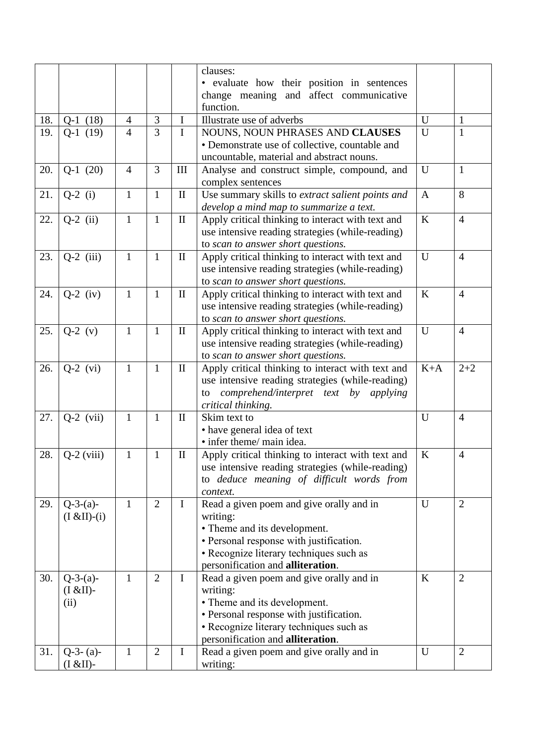|     |                       |                |                |              | clauses:                                          |              |                |
|-----|-----------------------|----------------|----------------|--------------|---------------------------------------------------|--------------|----------------|
|     |                       |                |                |              | • evaluate how their position in sentences        |              |                |
|     |                       |                |                |              | change meaning and affect communicative           |              |                |
|     |                       |                |                |              | function.                                         |              |                |
| 18. | $Q-1(18)$             | $\overline{4}$ | 3              | $\bf{I}$     | Illustrate use of adverbs                         | U            | $\mathbf{1}$   |
| 19. | $Q-1(19)$             | $\overline{4}$ | $\overline{3}$ | $\mathbf I$  | NOUNS, NOUN PHRASES AND CLAUSES                   | U            | $\mathbf{1}$   |
|     |                       |                |                |              | • Demonstrate use of collective, countable and    |              |                |
|     |                       |                |                |              | uncountable, material and abstract nouns.         |              |                |
| 20. | $Q-1(20)$             | $\overline{4}$ | 3              | III          | Analyse and construct simple, compound, and       | U            | $\mathbf{1}$   |
|     |                       |                |                |              | complex sentences                                 |              |                |
| 21. | $Q-2$ (i)             | $\mathbf{1}$   | $\mathbf{1}$   | $\mathbf{I}$ | Use summary skills to extract salient points and  | $\mathbf{A}$ | 8              |
|     |                       |                |                |              | develop a mind map to summarize a text.           |              |                |
| 22. | $Q-2$ (ii)            | $\mathbf{1}$   | $\mathbf{1}$   | $\mathbf{I}$ | Apply critical thinking to interact with text and | K            | $\overline{4}$ |
|     |                       |                |                |              | use intensive reading strategies (while-reading)  |              |                |
|     |                       |                |                |              | to scan to answer short questions.                |              |                |
| 23. | $Q-2$ (iii)           | $\mathbf{1}$   | $\mathbf{1}$   | $\mathbf{I}$ | Apply critical thinking to interact with text and | U            | $\overline{4}$ |
|     |                       |                |                |              | use intensive reading strategies (while-reading)  |              |                |
|     |                       |                |                |              | to scan to answer short questions.                |              |                |
| 24. | $Q-2$ (iv)            | $\mathbf{1}$   | $\mathbf{1}$   | $\mathbf{I}$ | Apply critical thinking to interact with text and | $\rm K$      | $\overline{4}$ |
|     |                       |                |                |              | use intensive reading strategies (while-reading)  |              |                |
|     |                       |                |                |              | to scan to answer short questions.                |              |                |
| 25. | $Q-2$ (v)             | $\mathbf{1}$   | $\mathbf{1}$   | $\mathbf{I}$ | Apply critical thinking to interact with text and | U            | $\overline{4}$ |
|     |                       |                |                |              | use intensive reading strategies (while-reading)  |              |                |
|     |                       |                |                |              | to scan to answer short questions.                |              |                |
| 26. | $Q-2$ (vi)            | $\mathbf{1}$   | $\mathbf{1}$   | $\rm II$     | Apply critical thinking to interact with text and | $K+A$        | $2 + 2$        |
|     |                       |                |                |              | use intensive reading strategies (while-reading)  |              |                |
|     |                       |                |                |              | comprehend/interpret text by applying<br>to       |              |                |
|     |                       |                |                |              | critical thinking.                                |              |                |
| 27. | $Q-2$ (vii)           | $\mathbf{1}$   | $\mathbf{1}$   | $\mathbf{I}$ | Skim text to                                      | U            | $\overline{4}$ |
|     |                       |                |                |              | • have general idea of text                       |              |                |
|     |                       |                |                |              | • infer theme/ main idea.                         |              |                |
| 28. | $Q-2$ (viii)          | $\mathbf{1}$   | 1              | $\mathbf{I}$ | Apply critical thinking to interact with text and | $\bf K$      | $\overline{4}$ |
|     |                       |                |                |              | use intensive reading strategies (while-reading)  |              |                |
|     |                       |                |                |              | to deduce meaning of difficult words from         |              |                |
|     |                       |                |                |              | context.                                          |              |                |
| 29. | $Q-3-(a)-$            | $\mathbf{1}$   | $\overline{2}$ | $\mathbf I$  | Read a given poem and give orally and in          | U            | 2              |
|     | $(I & \& II)$ - $(i)$ |                |                |              | writing:                                          |              |                |
|     |                       |                |                |              | • Theme and its development.                      |              |                |
|     |                       |                |                |              | • Personal response with justification.           |              |                |
|     |                       |                |                |              | • Recognize literary techniques such as           |              |                |
|     |                       |                | $\overline{2}$ | $\mathbf I$  | personification and alliteration.                 |              | $\overline{2}$ |
| 30. | $Q-3-(a)-$            | $\mathbf{1}$   |                |              | Read a given poem and give orally and in          | K            |                |
|     | $(I & EII)$ -<br>(ii) |                |                |              | writing:<br>• Theme and its development.          |              |                |
|     |                       |                |                |              | • Personal response with justification.           |              |                |
|     |                       |                |                |              | • Recognize literary techniques such as           |              |                |
|     |                       |                |                |              | personification and alliteration.                 |              |                |
| 31. | $Q-3-(a)-$            | $\mathbf{1}$   | $\overline{2}$ | $\mathbf I$  | Read a given poem and give orally and in          | U            | $\overline{2}$ |
|     | $(I & EII)$ -         |                |                |              | writing:                                          |              |                |
|     |                       |                |                |              |                                                   |              |                |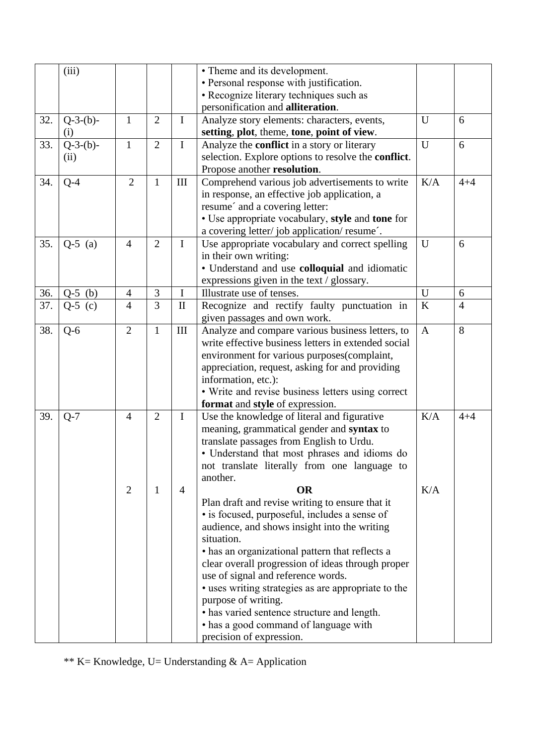|     | (iii)        |                |                |                | • Theme and its development.                        |              |                |
|-----|--------------|----------------|----------------|----------------|-----------------------------------------------------|--------------|----------------|
|     |              |                |                |                | • Personal response with justification.             |              |                |
|     |              |                |                |                | • Recognize literary techniques such as             |              |                |
|     |              |                |                |                | personification and alliteration.                   |              |                |
| 32. | $Q-3-(b)-$   | $\mathbf{1}$   | $\overline{2}$ | $\mathbf I$    | Analyze story elements: characters, events,         | U            | 6              |
|     | (i)          |                |                |                | setting, plot, theme, tone, point of view.          |              |                |
| 33. | $Q-3-(b)-$   | $\mathbf{1}$   | $\overline{2}$ | $\mathbf I$    | Analyze the <b>conflict</b> in a story or literary  | U            | 6              |
|     | (ii)         |                |                |                | selection. Explore options to resolve the conflict. |              |                |
|     |              |                |                |                | Propose another resolution.                         |              |                |
| 34. | $Q-4$        | $\overline{2}$ | $\mathbf{1}$   | III            | Comprehend various job advertisements to write      | K/A          | $4 + 4$        |
|     |              |                |                |                | in response, an effective job application, a        |              |                |
|     |              |                |                |                | resume' and a covering letter:                      |              |                |
|     |              |                |                |                | • Use appropriate vocabulary, style and tone for    |              |                |
|     |              |                |                |                | a covering letter/job application/resume'.          |              |                |
| 35. | $Q-5$ (a)    | $\overline{4}$ | $\overline{2}$ | $\mathbf I$    | Use appropriate vocabulary and correct spelling     | U            | 6              |
|     |              |                |                |                | in their own writing:                               |              |                |
|     |              |                |                |                | · Understand and use colloquial and idiomatic       |              |                |
|     |              |                |                |                | expressions given in the text / glossary.           |              |                |
| 36. | $Q-5$<br>(b) | 4              | $\mathfrak{Z}$ | I              | Illustrate use of tenses.                           | U            | 6              |
| 37. | $Q-5$ (c)    | $\overline{4}$ | $\overline{3}$ | $\rm II$       | Recognize and rectify faulty punctuation in         | K            | $\overline{4}$ |
|     |              |                |                |                | given passages and own work.                        |              |                |
| 38. | $Q-6$        | $\overline{2}$ | $\mathbf{1}$   | III            | Analyze and compare various business letters, to    | $\mathbf{A}$ | 8              |
|     |              |                |                |                | write effective business letters in extended social |              |                |
|     |              |                |                |                | environment for various purposes(complaint,         |              |                |
|     |              |                |                |                | appreciation, request, asking for and providing     |              |                |
|     |              |                |                |                | information, etc.):                                 |              |                |
|     |              |                |                |                | • Write and revise business letters using correct   |              |                |
|     |              |                |                |                | format and style of expression.                     |              |                |
| 39. | $Q-7$        | $\overline{4}$ | $\overline{2}$ | $\bf{I}$       | Use the knowledge of literal and figurative         | K/A          | $4 + 4$        |
|     |              |                |                |                | meaning, grammatical gender and syntax to           |              |                |
|     |              |                |                |                | translate passages from English to Urdu.            |              |                |
|     |              |                |                |                | • Understand that most phrases and idioms do        |              |                |
|     |              |                |                |                | not translate literally from one language to        |              |                |
|     |              |                |                |                | another.                                            |              |                |
|     |              | $\overline{2}$ | 1              | $\overline{4}$ | <b>OR</b>                                           | K/A          |                |
|     |              |                |                |                | Plan draft and revise writing to ensure that it     |              |                |
|     |              |                |                |                | • is focused, purposeful, includes a sense of       |              |                |
|     |              |                |                |                | audience, and shows insight into the writing        |              |                |
|     |              |                |                |                | situation.                                          |              |                |
|     |              |                |                |                | • has an organizational pattern that reflects a     |              |                |
|     |              |                |                |                | clear overall progression of ideas through proper   |              |                |
|     |              |                |                |                | use of signal and reference words.                  |              |                |
|     |              |                |                |                | • uses writing strategies as are appropriate to the |              |                |
|     |              |                |                |                | purpose of writing.                                 |              |                |
|     |              |                |                |                | • has varied sentence structure and length.         |              |                |
|     |              |                |                |                | • has a good command of language with               |              |                |
|     |              |                |                |                | precision of expression.                            |              |                |

\*\* K= Knowledge, U= Understanding & A= Application